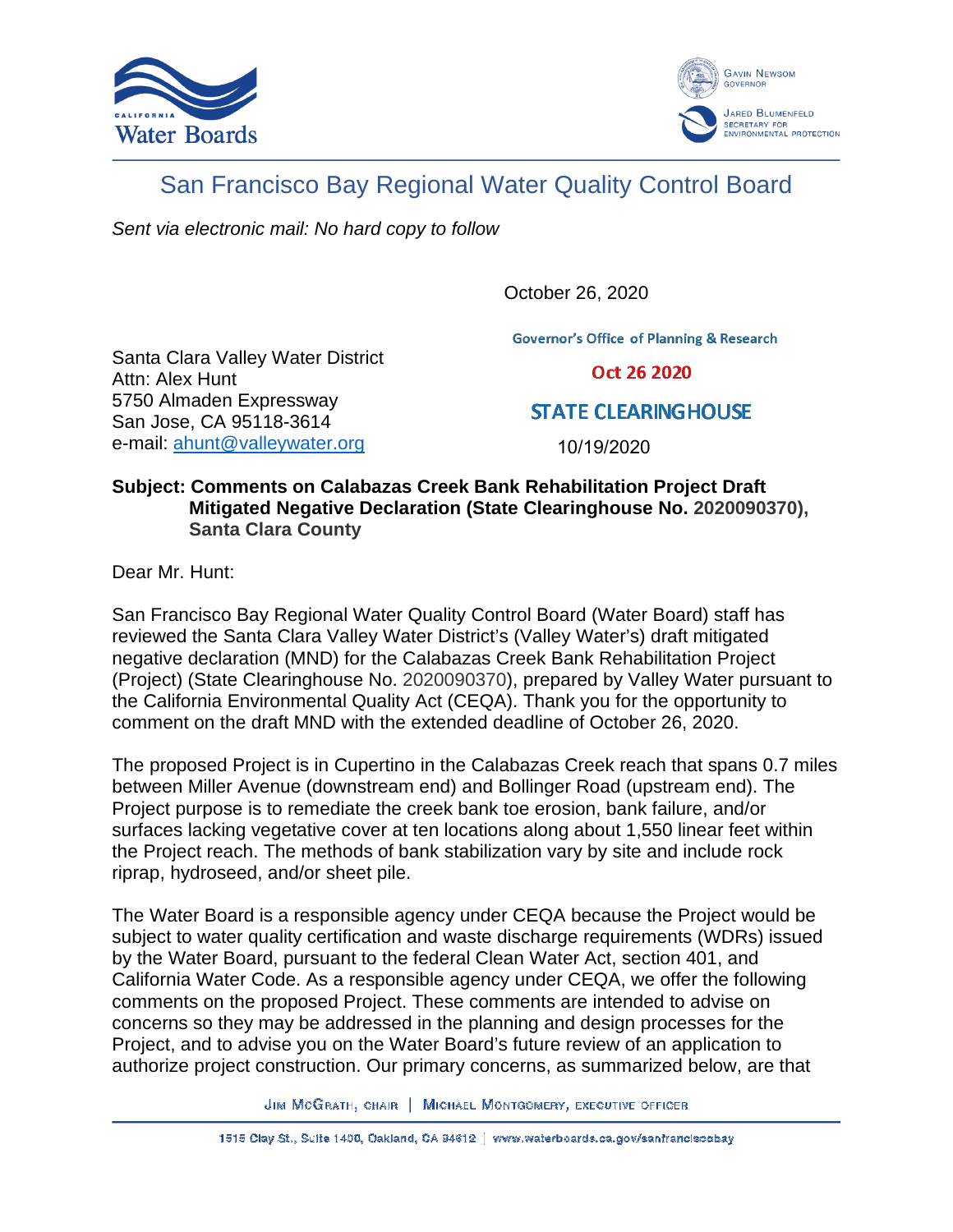



## San Francisco Bay Regional Water Quality Control Board

Sent via electronic mail: No hard copy to follow

October 26, 2020

**Governor's Office of Planning & Research** 

Santa Clara Valley Water District Attn: Alex Hunt 5750 Almaden Expressway San Jose, CA 95118-3614 e-mail: ahunt@valleywater.org

Oct 26 2020

**STATE CLEARING HOUSE** 

10/19/2020

## **Subject: Comments on Calabazas Creek Bank Rehabilitation Project Draft Mitigated Negative Declaration (State Clearinghouse No. 2020090370), Santa Clara County**

Dear Mr. Hunt:

San Francisco Bay Regional Water Quality Control Board (Water Board) staff has reviewed the Santa Clara Valley Water District's (Valley Water's) draft mitigated negative declaration (MND) for the Calabazas Creek Bank Rehabilitation Project (Project) (State Clearinghouse No. 2020090370), prepared by Valley Water pursuant to the California Environmental Quality Act (CEQA). Thank you for the opportunity to comment on the draft MND with the extended deadline of October 26, 2020.

The proposed Project is in Cupertino in the Calabazas Creek reach that spans 0.7 miles between Miller Avenue (downstream end) and Bollinger Road (upstream end). The Project purpose is to remediate the creek bank toe erosion, bank failure, and/or surfaces lacking vegetative cover at ten locations along about 1,550 linear feet within the Project reach. The methods of bank stabilization vary by site and include rock riprap, hydroseed, and/or sheet pile.

The Water Board is a responsible agency under CEQA because the Project would be subject to water quality certification and waste discharge requirements (WDRs) issued by the Water Board, pursuant to the federal Clean Water Act, section 401, and California Water Code. As a responsible agency under CEQA, we offer the following comments on the proposed Project. These comments are intended to advise on concerns so they may be addressed in the planning and design processes for the Project, and to advise you on the Water Board's future review of an application to authorize project construction. Our primary concerns, as summarized below, are that

JIM MCGRATH, CHAIR | MICHAEL MONTGOMERY, EXECUTIVE OFFICER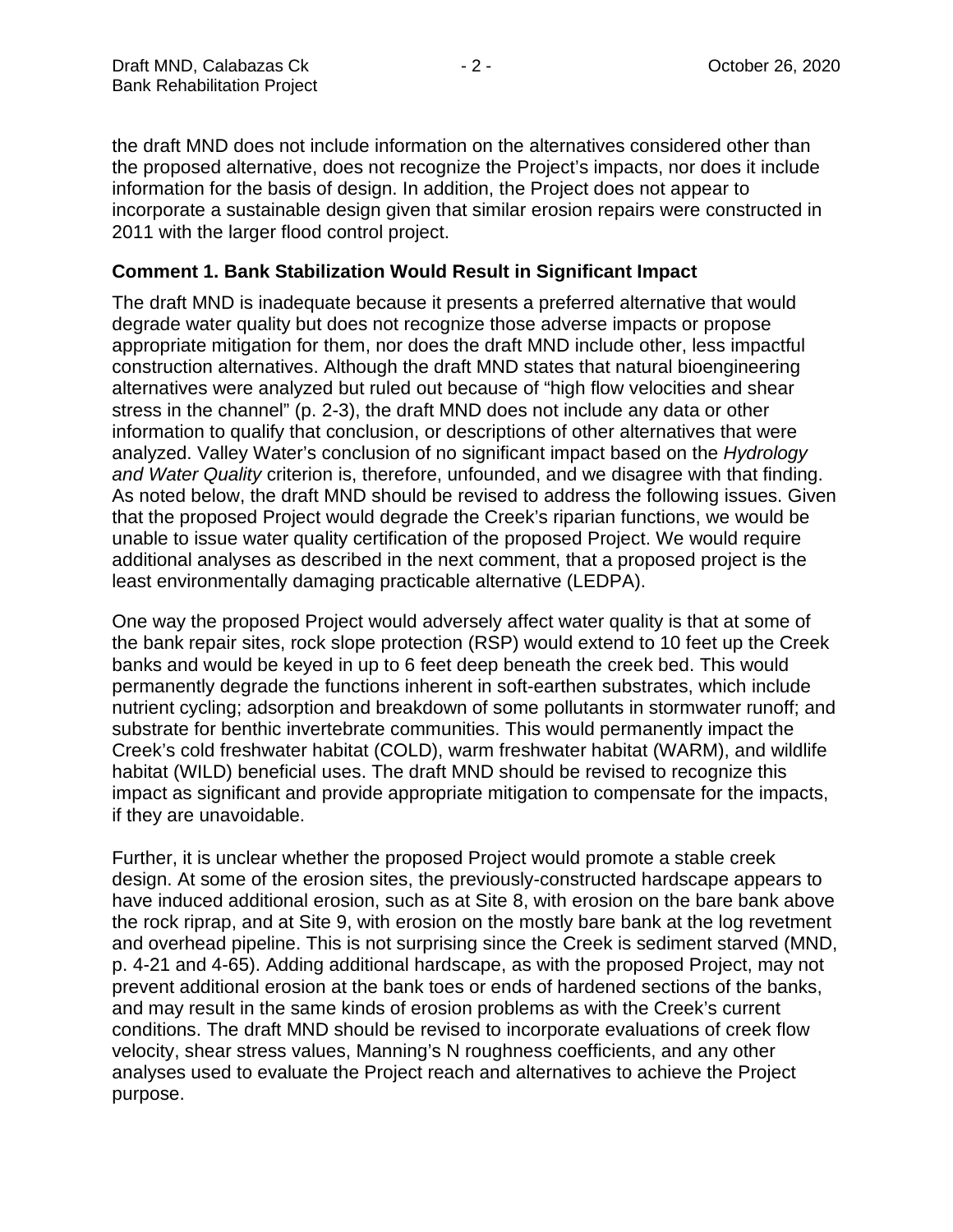the draft MND does not include information on the alternatives considered other than the proposed alternative, does not recognize the Project's impacts, nor does it include information for the basis of design. In addition, the Project does not appear to incorporate a sustainable design given that similar erosion repairs were constructed in 2011 with the larger flood control project.

## **Comment 1. Bank Stabilization Would Result in Significant Impact**

The draft MND is inadequate because it presents a preferred alternative that would degrade water quality but does not recognize those adverse impacts or propose appropriate mitigation for them, nor does the draft MND include other, less impactful construction alternatives. Although the draft MND states that natural bioengineering alternatives were analyzed but ruled out because of "high flow velocities and shear stress in the channel" (p. 2-3), the draft MND does not include any data or other information to qualify that conclusion, or descriptions of other alternatives that were analyzed. Valley Water's conclusion of no significant impact based on the Hydrology and Water Quality criterion is, therefore, unfounded, and we disagree with that finding. As noted below, the draft MND should be revised to address the following issues. Given that the proposed Project would degrade the Creek's riparian functions, we would be unable to issue water quality certification of the proposed Project. We would require additional analyses as described in the next comment, that a proposed project is the least environmentally damaging practicable alternative (LEDPA).

One way the proposed Project would adversely affect water quality is that at some of the bank repair sites, rock slope protection (RSP) would extend to 10 feet up the Creek banks and would be keyed in up to 6 feet deep beneath the creek bed. This would permanently degrade the functions inherent in soft-earthen substrates, which include nutrient cycling; adsorption and breakdown of some pollutants in stormwater runoff; and substrate for benthic invertebrate communities. This would permanently impact the Creek's cold freshwater habitat (COLD), warm freshwater habitat (WARM), and wildlife habitat (WILD) beneficial uses. The draft MND should be revised to recognize this impact as significant and provide appropriate mitigation to compensate for the impacts, if they are unavoidable.

Further, it is unclear whether the proposed Project would promote a stable creek design. At some of the erosion sites, the previously-constructed hardscape appears to have induced additional erosion, such as at Site 8, with erosion on the bare bank above the rock riprap, and at Site 9, with erosion on the mostly bare bank at the log revetment and overhead pipeline. This is not surprising since the Creek is sediment starved (MND, p. 4-21 and 4-65). Adding additional hardscape, as with the proposed Project, may not prevent additional erosion at the bank toes or ends of hardened sections of the banks, and may result in the same kinds of erosion problems as with the Creek's current conditions. The draft MND should be revised to incorporate evaluations of creek flow velocity, shear stress values, Manning's N roughness coefficients, and any other analyses used to evaluate the Project reach and alternatives to achieve the Project purpose.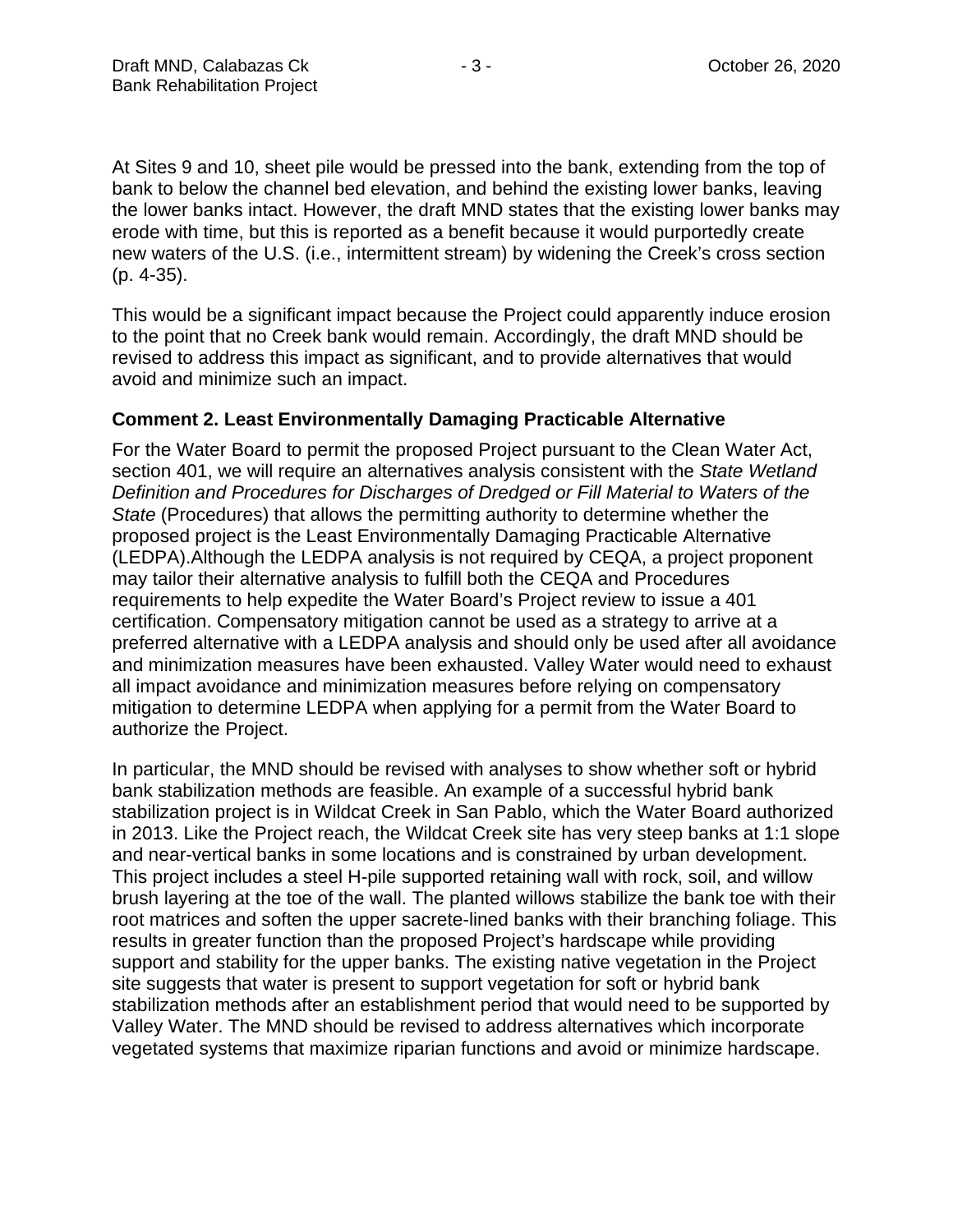At Sites 9 and 10, sheet pile would be pressed into the bank, extending from the top of bank to below the channel bed elevation, and behind the existing lower banks, leaving the lower banks intact. However, the draft MND states that the existing lower banks may erode with time, but this is reported as a benefit because it would purportedly create new waters of the U.S. (i.e., intermittent stream) by widening the Creek's cross section (p. 4-35).

This would be a significant impact because the Project could apparently induce erosion to the point that no Creek bank would remain. Accordingly, the draft MND should be revised to address this impact as significant, and to provide alternatives that would avoid and minimize such an impact.

## **Comment 2. Least Environmentally Damaging Practicable Alternative**

For the Water Board to permit the proposed Project pursuant to the Clean Water Act, section 401, we will require an alternatives analysis consistent with the State Wetland Definition and Procedures for Discharges of Dredged or Fill Material to Waters of the State (Procedures) that allows the permitting authority to determine whether the proposed project is the Least Environmentally Damaging Practicable Alternative (LEDPA).Although the LEDPA analysis is not required by CEQA, a project proponent may tailor their alternative analysis to fulfill both the CEQA and Procedures requirements to help expedite the Water Board's Project review to issue a 401 certification. Compensatory mitigation cannot be used as a strategy to arrive at a preferred alternative with a LEDPA analysis and should only be used after all avoidance and minimization measures have been exhausted. Valley Water would need to exhaust all impact avoidance and minimization measures before relying on compensatory mitigation to determine LEDPA when applying for a permit from the Water Board to authorize the Project.

In particular, the MND should be revised with analyses to show whether soft or hybrid bank stabilization methods are feasible. An example of a successful hybrid bank stabilization project is in Wildcat Creek in San Pablo, which the Water Board authorized in 2013. Like the Project reach, the Wildcat Creek site has very steep banks at 1:1 slope and near-vertical banks in some locations and is constrained by urban development. This project includes a steel H-pile supported retaining wall with rock, soil, and willow brush layering at the toe of the wall. The planted willows stabilize the bank toe with their root matrices and soften the upper sacrete-lined banks with their branching foliage. This results in greater function than the proposed Project's hardscape while providing support and stability for the upper banks. The existing native vegetation in the Project site suggests that water is present to support vegetation for soft or hybrid bank stabilization methods after an establishment period that would need to be supported by Valley Water. The MND should be revised to address alternatives which incorporate vegetated systems that maximize riparian functions and avoid or minimize hardscape.